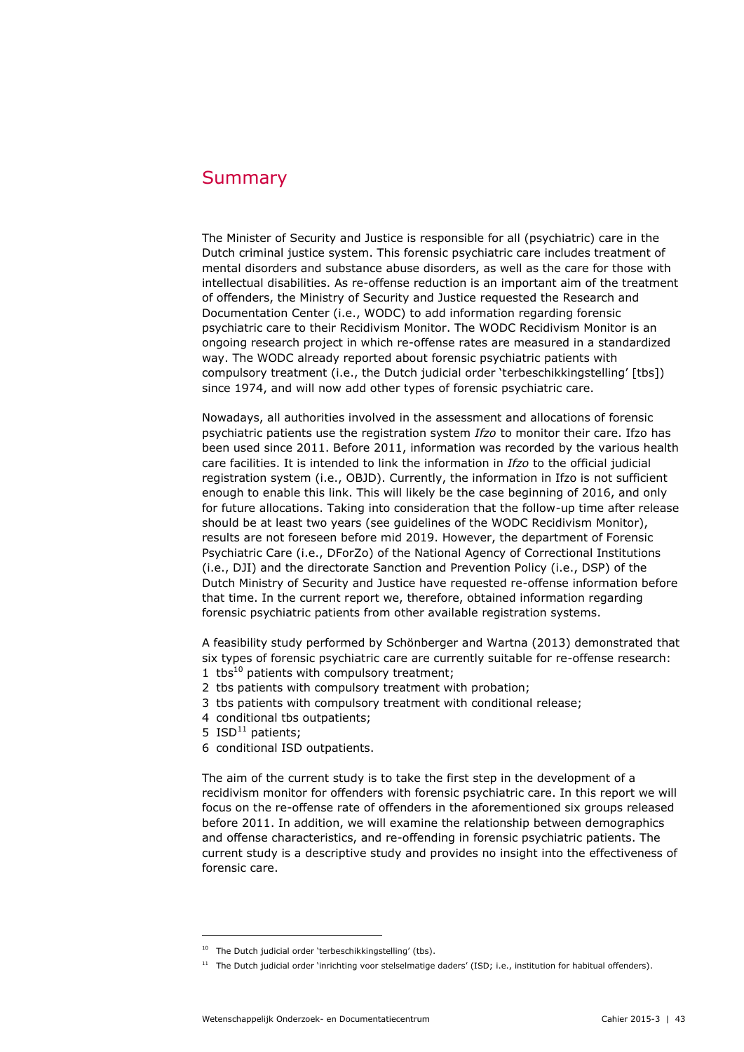# Summary

The Minister of Security and Justice is responsible for all (psychiatric) care in the Dutch criminal justice system. This forensic psychiatric care includes treatment of mental disorders and substance abuse disorders, as well as the care for those with intellectual disabilities. As re-offense reduction is an important aim of the treatment of offenders, the Ministry of Security and Justice requested the Research and Documentation Center (i.e., WODC) to add information regarding forensic psychiatric care to their Recidivism Monitor. The WODC Recidivism Monitor is an ongoing research project in which re-offense rates are measured in a standardized way. The WODC already reported about forensic psychiatric patients with compulsory treatment (i.e., the Dutch judicial order 'terbeschikkingstelling' [tbs]) since 1974, and will now add other types of forensic psychiatric care.

Nowadays, all authorities involved in the assessment and allocations of forensic psychiatric patients use the registration system *Ifzo* to monitor their care. Ifzo has been used since 2011. Before 2011, information was recorded by the various health care facilities. It is intended to link the information in *Ifzo* to the official judicial registration system (i.e., OBJD). Currently, the information in Ifzo is not sufficient enough to enable this link. This will likely be the case beginning of 2016, and only for future allocations. Taking into consideration that the follow-up time after release should be at least two years (see guidelines of the WODC Recidivism Monitor), results are not foreseen before mid 2019. However, the department of Forensic Psychiatric Care (i.e., DForZo) of the National Agency of Correctional Institutions (i.e., DJI) and the directorate Sanction and Prevention Policy (i.e., DSP) of the Dutch Ministry of Security and Justice have requested re-offense information before that time. In the current report we, therefore, obtained information regarding forensic psychiatric patients from other available registration systems.

A feasibility study performed by Schönberger and Wartna (2013) demonstrated that six types of forensic psychiatric care are currently suitable for re-offense research: 1 tbs $^{10}$  patients with compulsory treatment;

- 2 tbs patients with compulsory treatment with probation;
- 3 tbs patients with compulsory treatment with conditional release;
- 4 conditional tbs outpatients;
- 5  $ISD<sup>11</sup>$  patients:

-

6 conditional ISD outpatients.

The aim of the current study is to take the first step in the development of a recidivism monitor for offenders with forensic psychiatric care. In this report we will focus on the re-offense rate of offenders in the aforementioned six groups released before 2011. In addition, we will examine the relationship between demographics and offense characteristics, and re-offending in forensic psychiatric patients. The current study is a descriptive study and provides no insight into the effectiveness of forensic care.

 $10$  The Dutch judicial order 'terbeschikkingstelling' (tbs).

<sup>&</sup>lt;sup>11</sup> The Dutch judicial order 'inrichting voor stelselmatige daders' (ISD; i.e., institution for habitual offenders).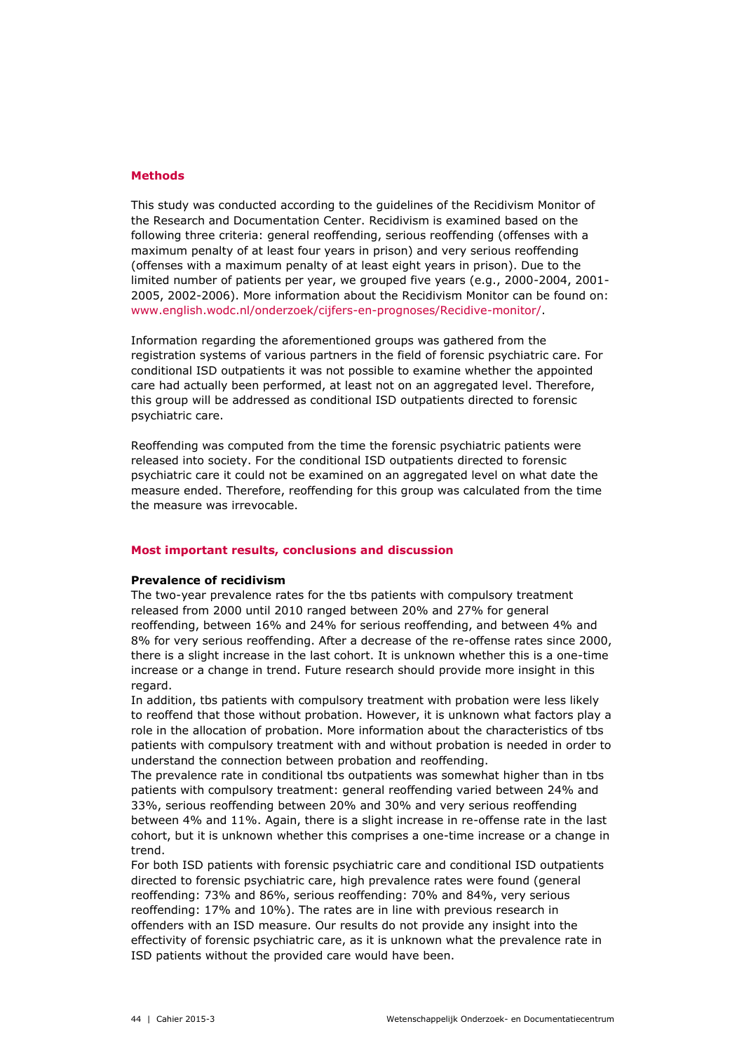### **Methods**

This study was conducted according to the guidelines of the Recidivism Monitor of the Research and Documentation Center. Recidivism is examined based on the following three criteria: general reoffending, serious reoffending (offenses with a maximum penalty of at least four years in prison) and very serious reoffending (offenses with a maximum penalty of at least eight years in prison). Due to the limited number of patients per year, we grouped five years (e.g., 2000-2004, 2001- 2005, 2002-2006). More information about the Recidivism Monitor can be found on: [www.english.wodc.nl/onderzoek/cijfers-en-prognoses/Recidive-monitor/.](https://english.wodc.nl/onderzoek/cijfers-en-prognoses/Recidive-monitor/)

Information regarding the aforementioned groups was gathered from the registration systems of various partners in the field of forensic psychiatric care. For conditional ISD outpatients it was not possible to examine whether the appointed care had actually been performed, at least not on an aggregated level. Therefore, this group will be addressed as conditional ISD outpatients directed to forensic psychiatric care.

Reoffending was computed from the time the forensic psychiatric patients were released into society. For the conditional ISD outpatients directed to forensic psychiatric care it could not be examined on an aggregated level on what date the measure ended. Therefore, reoffending for this group was calculated from the time the measure was irrevocable.

### **Most important results, conclusions and discussion**

### **Prevalence of recidivism**

The two-year prevalence rates for the tbs patients with compulsory treatment released from 2000 until 2010 ranged between 20% and 27% for general reoffending, between 16% and 24% for serious reoffending, and between 4% and 8% for very serious reoffending. After a decrease of the re-offense rates since 2000, there is a slight increase in the last cohort. It is unknown whether this is a one-time increase or a change in trend. Future research should provide more insight in this regard.

In addition, tbs patients with compulsory treatment with probation were less likely to reoffend that those without probation. However, it is unknown what factors play a role in the allocation of probation. More information about the characteristics of tbs patients with compulsory treatment with and without probation is needed in order to understand the connection between probation and reoffending.

The prevalence rate in conditional tbs outpatients was somewhat higher than in tbs patients with compulsory treatment: general reoffending varied between 24% and 33%, serious reoffending between 20% and 30% and very serious reoffending between 4% and 11%. Again, there is a slight increase in re-offense rate in the last cohort, but it is unknown whether this comprises a one-time increase or a change in trend.

For both ISD patients with forensic psychiatric care and conditional ISD outpatients directed to forensic psychiatric care, high prevalence rates were found (general reoffending: 73% and 86%, serious reoffending: 70% and 84%, very serious reoffending: 17% and 10%). The rates are in line with previous research in offenders with an ISD measure. Our results do not provide any insight into the effectivity of forensic psychiatric care, as it is unknown what the prevalence rate in ISD patients without the provided care would have been.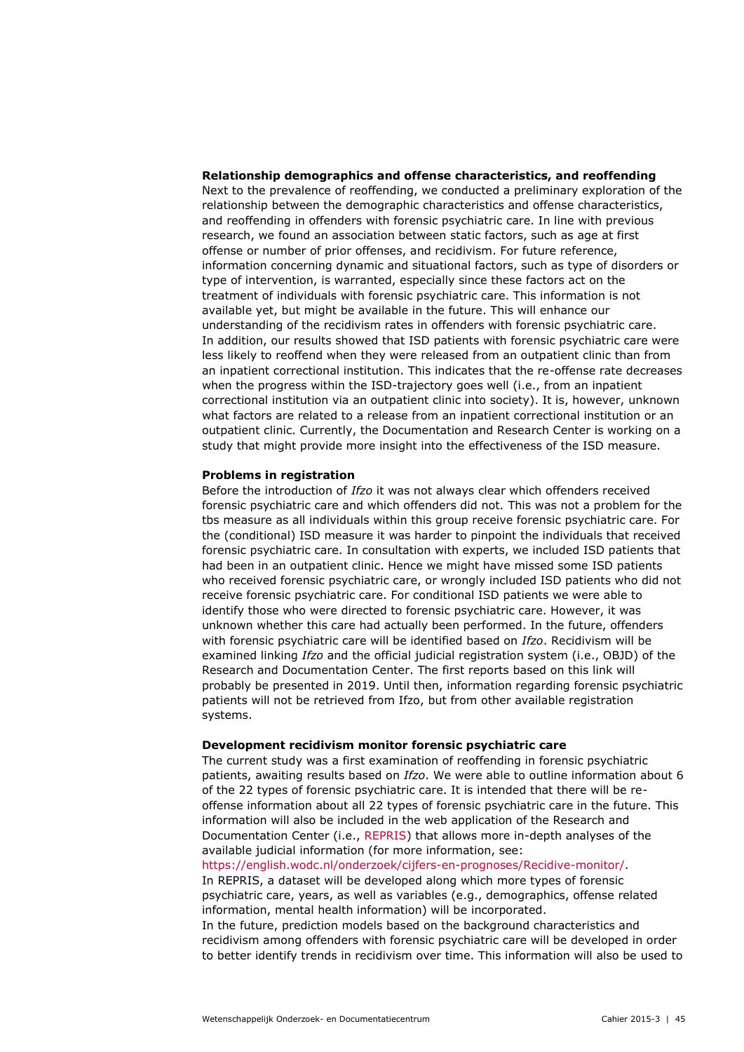**Relationship demographics and offense characteristics, and reoffending** Next to the prevalence of reoffending, we conducted a preliminary exploration of the relationship between the demographic characteristics and offense characteristics, and reoffending in offenders with forensic psychiatric care. In line with previous research, we found an association between static factors, such as age at first offense or number of prior offenses, and recidivism. For future reference, information concerning dynamic and situational factors, such as type of disorders or type of intervention, is warranted, especially since these factors act on the treatment of individuals with forensic psychiatric care. This information is not available yet, but might be available in the future. This will enhance our understanding of the recidivism rates in offenders with forensic psychiatric care. In addition, our results showed that ISD patients with forensic psychiatric care were less likely to reoffend when they were released from an outpatient clinic than from an inpatient correctional institution. This indicates that the re-offense rate decreases when the progress within the ISD-trajectory goes well (i.e., from an inpatient correctional institution via an outpatient clinic into society). It is, however, unknown what factors are related to a release from an inpatient correctional institution or an outpatient clinic. Currently, the Documentation and Research Center is working on a study that might provide more insight into the effectiveness of the ISD measure.

#### **Problems in registration**

Before the introduction of *Ifzo* it was not always clear which offenders received forensic psychiatric care and which offenders did not*.* This was not a problem for the tbs measure as all individuals within this group receive forensic psychiatric care. For the (conditional) ISD measure it was harder to pinpoint the individuals that received forensic psychiatric care. In consultation with experts, we included ISD patients that had been in an outpatient clinic. Hence we might have missed some ISD patients who received forensic psychiatric care, or wrongly included ISD patients who did not receive forensic psychiatric care. For conditional ISD patients we were able to identify those who were directed to forensic psychiatric care. However, it was unknown whether this care had actually been performed. In the future, offenders with forensic psychiatric care will be identified based on *Ifzo*. Recidivism will be examined linking *Ifzo* and the official judicial registration system (i.e., OBJD) of the Research and Documentation Center. The first reports based on this link will probably be presented in 2019. Until then, information regarding forensic psychiatric patients will not be retrieved from Ifzo, but from other available registration systems.

## **Development recidivism monitor forensic psychiatric care**

The current study was a first examination of reoffending in forensic psychiatric patients, awaiting results based on *Ifzo*. We were able to outline information about 6 of the 22 types of forensic psychiatric care. It is intended that there will be reoffense information about all 22 types of forensic psychiatric care in the future. This information will also be included in the web application of the Research and Documentation Center (i.e., [REPRIS\)](http://www.wodc.nl/onderzoek/cijfers-en-prognoses/Recidive-monitor/repris/) that allows more in-depth analyses of the available judicial information (for more information, see:

### [https://english.wodc.nl/onderzoek/cijfers-en-prognoses/Recidive-monitor/.](https://english.wodc.nl/onderzoek/cijfers-en-prognoses/Recidive-monitor/)

In REPRIS, a dataset will be developed along which more types of forensic psychiatric care, years, as well as variables (e.g., demographics, offense related information, mental health information) will be incorporated.

In the future, prediction models based on the background characteristics and recidivism among offenders with forensic psychiatric care will be developed in order to better identify trends in recidivism over time. This information will also be used to